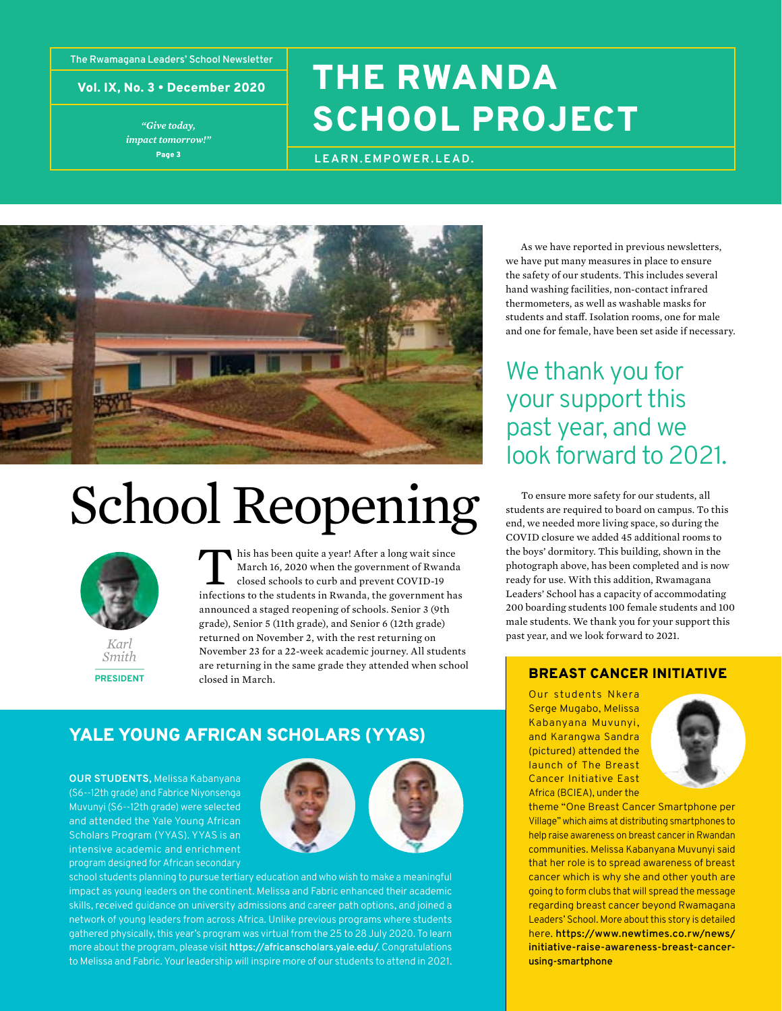**The Rwamagana Leaders' School Newsletter**

Vol. IX, No. 3 • December 2020

Page 3 *"Give today, impact tomorrow!"*

# THE RWANDA SCHOOL PROJECT

**LEARN.EMPOWER.LEAD.**



# School Reopening



*Smith* **PRESIDENT** This has been quite a year! After a long wait since<br>March 16, 2020 when the government of Rwanda<br>closed schools to curb and prevent COVID-19<br>infections to the students in Rwanda, the government ha March 16, 2020 when the government of Rwanda closed schools to curb and prevent COVID-19 infections to the students in Rwanda, the government has announced a staged reopening of schools. Senior 3 (9th grade), Senior 5 (11th grade), and Senior 6 (12th grade) returned on November 2, with the rest returning on November 23 for a 22-week academic journey. All students are returning in the same grade they attended when school closed in March.

## YALE YOUNG AFRICAN SCHOLARS (YYAS)

**OUR STUDENTS,** Melissa Kabanyana (S6--12th grade) and Fabrice Niyonsenga Muvunyi (S6--12th grade) were selected and attended the Yale Young African Scholars Program (YYAS). YYAS is an intensive academic and enrichment program designed for African secondary



school students planning to pursue tertiary education and who wish to make a meaningful impact as young leaders on the continent. Melissa and Fabric enhanced their academic skills, received guidance on university admissions and career path options, and joined a network of young leaders from across Africa. Unlike previous programs where students gathered physically, this year's program was virtual from the 25 to 28 July 2020. To learn more about the program, please visit <https://africanscholars.yale.edu/>. Congratulations to Melissa and Fabric. Your leadership will inspire more of our students to attend in 2021.

As we have reported in previous newsletters, we have put many measures in place to ensure the safety of our students. This includes several hand washing facilities, non-contact infrared thermometers, as well as washable masks for students and staff. Isolation rooms, one for male and one for female, have been set aside if necessary.

## We thank you for your support this past year, and we look forward to 2021.

To ensure more safety for our students, all students are required to board on campus. To this end, we needed more living space, so during the COVID closure we added 45 additional rooms to the boys' dormitory. This building, shown in the photograph above, has been completed and is now ready for use. With this addition, Rwamagana Leaders' School has a capacity of accommodating 200 boarding students 100 female students and 100 male students. We thank you for your support this past year, and we look forward to 2021.

## BREAST CANCER INITIATIVE

Our students Nkera Serge Mugabo, Melissa Kabanyana Muvunyi, and Karangwa Sandra (pictured) attended the launch of The Breast Cancer Initiative East Africa (BCIEA), under the



theme "One Breast Cancer Smartphone per Village" which aims at distributing smartphones to help raise awareness on breast cancer in Rwandan communities. Melissa Kabanyana Muvunyi said that her role is to spread awareness of breast cancer which is why she and other youth are going to form clubs that will spread the message regarding breast cancer beyond Rwamagana Leaders' School. More about this story is detailed here. [https://www.newtimes.co.rw/news/](https://www.newtimes.co.rw/news/initiative-raise-awareness-breast-cancer-using-smartphone) [initiative-raise-awareness-breast-cancer](https://www.newtimes.co.rw/news/initiative-raise-awareness-breast-cancer-using-smartphone)[using-smartphone](https://www.newtimes.co.rw/news/initiative-raise-awareness-breast-cancer-using-smartphone)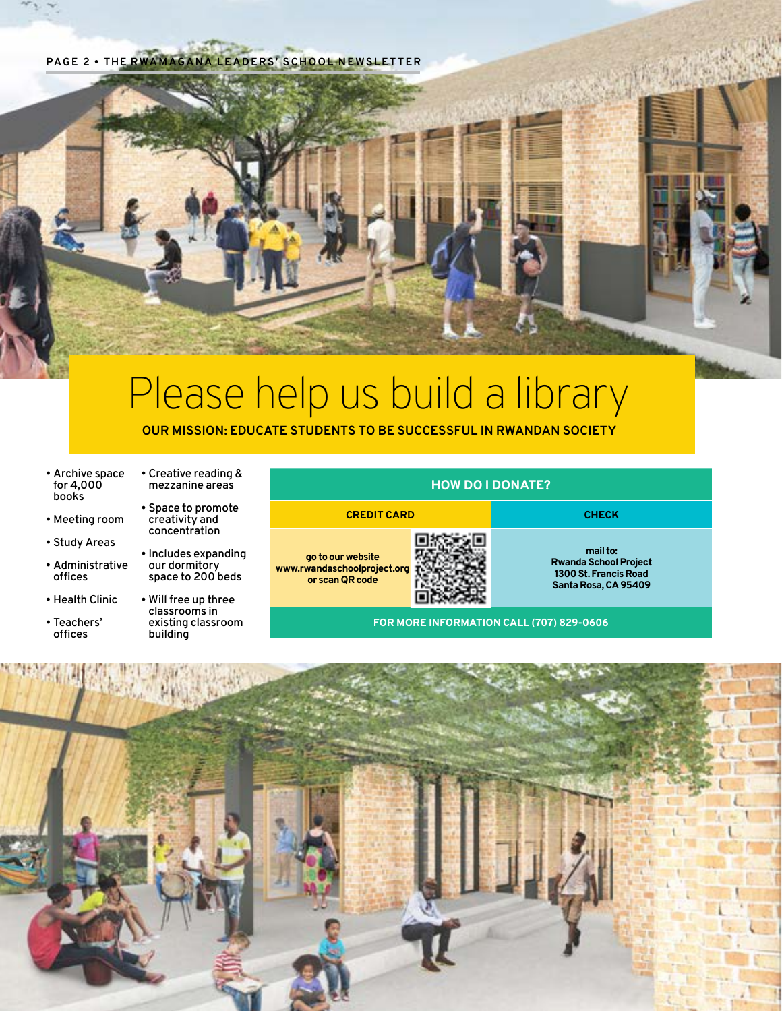**PAGE 2 • THE RWAMAGANA LEADERS' SCHOOL NEWSLETTER**

# Please help us build a library

**OUR MISSION: EDUCATE STUDENTS TO BE SUCCESSFUL IN RWANDAN SOCIETY**

- Archive space for 4,000 books
- Meeting room
- Study Areas
- Administrative offices
- Health Clinic
- Teachers' offices
- Creative reading & mezzanine areas
	- Space to promote creativity and concentration
- Includes expanding our dormitory space to 200 beds
- Will free up three classrooms in existing classroom building



**or scan QR code**



**CREDIT CARD CHECK**

**mail to: Rwanda School Project 1300 St. Francis Road Santa Rosa, CA 95409**

**FOR MORE INFORMATION CALL (707) 829-0606**

**HOW DO I DONATE?**

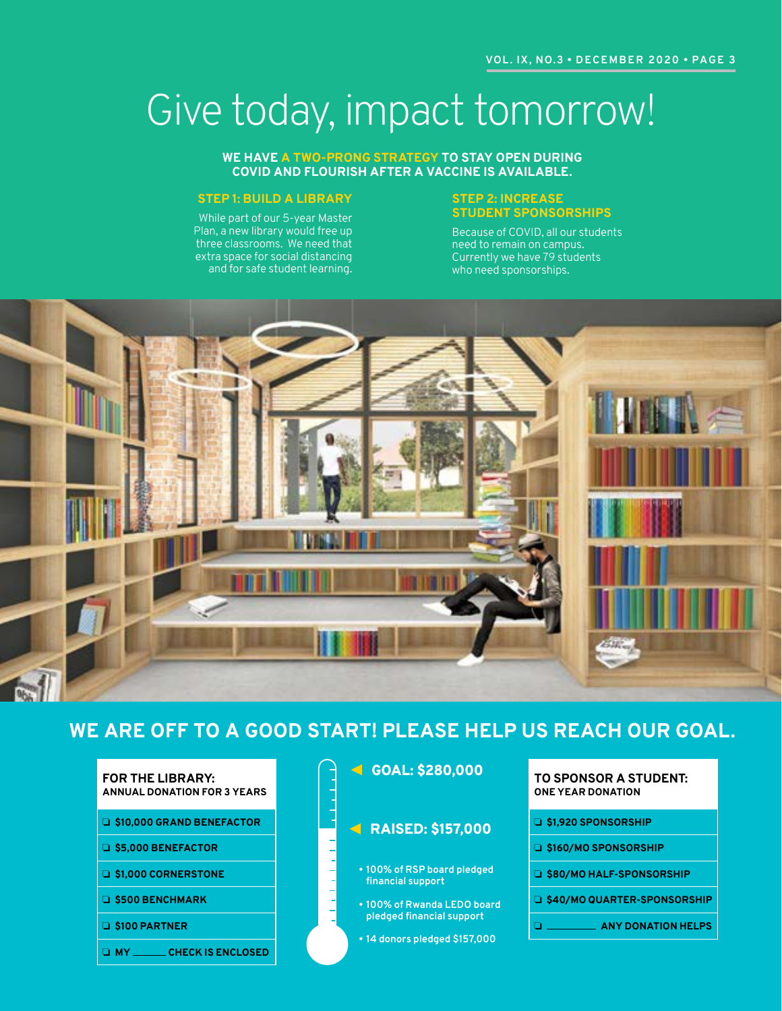# Give today, impact tomorrow!

#### **WE HAVE A TWO-PRONG STRATEGY TO STAY OPEN DURING COVID AND FLOURISH AFTER A VACCINE IS AVAILABLE.**

#### **STEP 1: BUILD A LIBRARY**

While part of our 5-year Master Plan, a new library would free up three classrooms. We need that extra space for social distancing and for safe student learning.

#### **STEP 2: INCREASE STUDENT SPONSORSHIPS**

Because of COVID, all our students need to remain on campus. Currently we have 79 students who need sponsorships.



## **WE ARE OFF TO A GOOD START! PLEASE HELP US REACH OUR GOAL.**

| <b>FOR THE LIBRARY:</b><br><b>ANNUAL DONATION FOR 3 YEARS</b> |
|---------------------------------------------------------------|
| S10,000 GRAND BENEFACTOR                                      |
| S5,000 BENEFACTOR                                             |
| S1.000 CORNERSTONE                                            |
| <b>G S500 BENCHMARK</b>                                       |
| $\Box$ \$100 PARTNER                                          |
|                                                               |

❏ **MY CHECK IS ENCLOSED**

GOAL: \$280,000

### RAISED: \$157,000

- **• 100% of RSP board pledged financial support**
- **• 100% of Rwanda LEDO board pledged financial support**
- **• 14 donors pledged \$157,000**

#### **TO SPONSOR A STUDENT: ONE YEAR DONATION**

- ❏ **\$1,920 SPONSORSHIP**
- ❏ **\$160/MO SPONSORSHIP**
- ❏ **\$80/MO HALF-SPONSORSHIP**
- ❏ **\$40/MO QUARTER-SPONSORSHIP**
- ❏ **ANY DONATION HELPS**